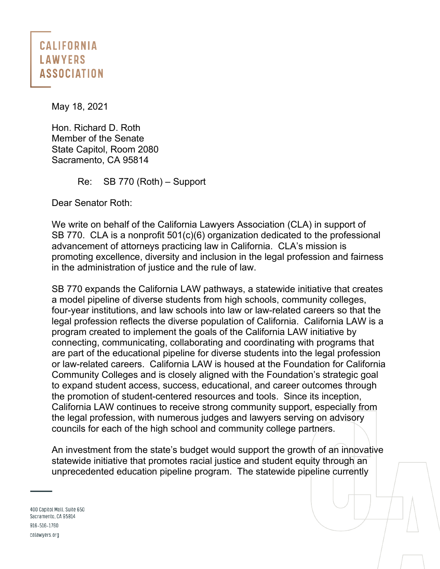## **CALIFORNIA LAWYERS ASSOCIATION**

May 18, 2021

Hon. Richard D. Roth Member of the Senate State Capitol, Room 2080 Sacramento, CA 95814

Re: SB 770 (Roth) – Support

Dear Senator Roth:

We write on behalf of the California Lawyers Association (CLA) in support of SB 770. CLA is a nonprofit 501(c)(6) organization dedicated to the professional advancement of attorneys practicing law in California. CLA's mission is promoting excellence, diversity and inclusion in the legal profession and fairness in the administration of justice and the rule of law.

SB 770 expands the California LAW pathways, a statewide initiative that creates a model pipeline of diverse students from high schools, community colleges, four-year institutions, and law schools into law or law-related careers so that the legal profession reflects the diverse population of California. California LAW is a program created to implement the goals of the California LAW initiative by connecting, communicating, collaborating and coordinating with programs that are part of the educational pipeline for diverse students into the legal profession or law-related careers. California LAW is housed at the Foundation for California Community Colleges and is closely aligned with the Foundation's strategic goal to expand student access, success, educational, and career outcomes through the promotion of student-centered resources and tools. Since its inception, California LAW continues to receive strong community support, especially from the legal profession, with numerous judges and lawyers serving on advisory councils for each of the high school and community college partners.

An investment from the state's budget would support the growth of an innovative statewide initiative that promotes racial justice and student equity through an unprecedented education pipeline program. The statewide pipeline currently

400 Capitol Mall, Suite 650 Sacramento, CA 95814 916-516-1760 calawyers.org